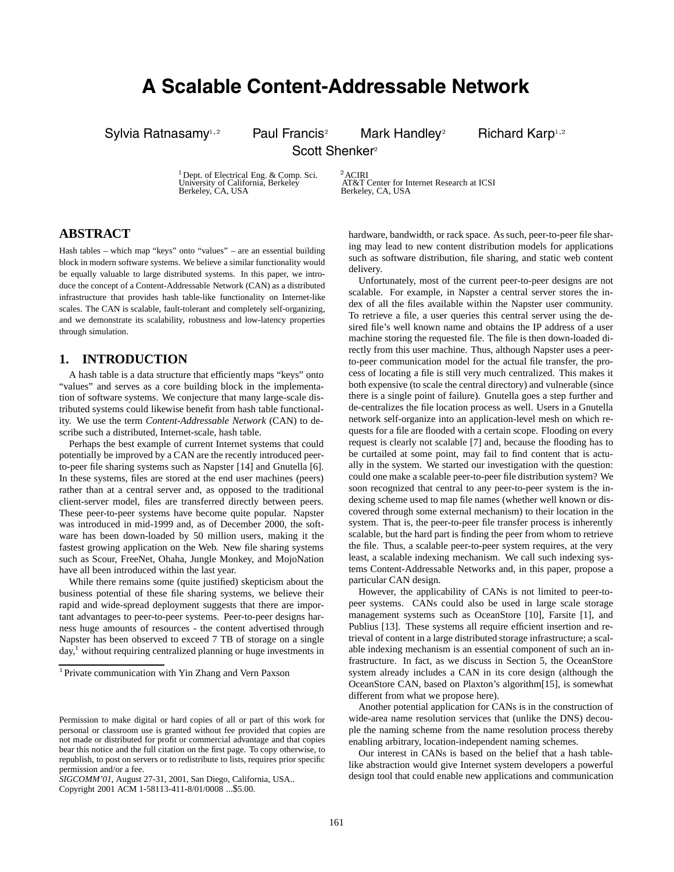# **A Scalable Content-Addressable Network**

Sylvia Ratnasamy<sup>1,2</sup>

Paul Francis<sup>2</sup>

Mark Handley<sup>2</sup>

Richard Karp<sup>1,2</sup>

Scott Shenker<sup>2</sup>

<sup>1</sup> Dept. of Electrical Eng. & Comp. Sci. <sup>2</sup> ACIRI

<sup>2</sup>ACIRI University of California, Berkeley AT&T Center for Internet Research at ICSI<br>Berkeley, CA, USA Berkeley, CA, USA Berkeley, CA, USA

# **ABSTRACT**

Hash tables – which map "keys" onto "values" – are an essential building block in modern software systems. We believe a similar functionality would be equally valuable to large distributed systems. In this paper, we introduce the concept of a Content-Addressable Network (CAN) as a distributed infrastructure that provides hash table-like functionality on Internet-like scales. The CAN is scalable, fault-tolerant and completely self-organizing, and we demonstrate its scalability, robustness and low-latency properties through simulation.

# **1. INTRODUCTION**

A hash table is a data structure that efficiently maps "keys" onto "values" and serves as a core building block in the implementation of software systems. We conjecture that many large-scale distributed systems could likewise benefit from hash table functionality. We use the term *Content-Addressable Network* (CAN) to describe such a distributed, Internet-scale, hash table.

Perhaps the best example of current Internet systems that could potentially be improved by a CAN are the recently introduced peerto-peer file sharing systems such as Napster [14] and Gnutella [6]. In these systems, files are stored at the end user machines (peers) rather than at a central server and, as opposed to the traditional client-server model, files are transferred directly between peers. These peer-to-peer systems have become quite popular. Napster was introduced in mid-1999 and, as of December 2000, the software has been down-loaded by 50 million users, making it the fastest growing application on the Web. New file sharing systems such as Scour, FreeNet, Ohaha, Jungle Monkey, and MojoNation have all been introduced within the last year.

While there remains some (quite justified) skepticism about the business potential of these file sharing systems, we believe their rapid and wide-spread deployment suggests that there are important advantages to peer-to-peer systems. Peer-to-peer designs harness huge amounts of resources - the content advertised through Napster has been observed to exceed 7 TB of storage on a single  $day,$ <sup>1</sup> without requiring centralized planning or huge investments in

<sup>1</sup> Private communication with Yin Zhang and Vern Paxson

Copyright 2001 ACM 1-58113-411-8/01/0008 ...\$5.00.

hardware, bandwidth, or rack space. As such, peer-to-peer file sharing may lead to new content distribution models for applications such as software distribution, file sharing, and static web content delivery.

Unfortunately, most of the current peer-to-peer designs are not scalable. For example, in Napster a central server stores the index of all the files available within the Napster user community. To retrieve a file, a user queries this central server using the desired file's well known name and obtains the IP address of a user machine storing the requested file. The file is then down-loaded directly from this user machine. Thus, although Napster uses a peerto-peer communication model for the actual file transfer, the process of locating a file is still very much centralized. This makes it both expensive (to scale the central directory) and vulnerable (since there is a single point of failure). Gnutella goes a step further and de-centralizes the file location process as well. Users in a Gnutella network self-organize into an application-level mesh on which requests for a file are flooded with a certain scope. Flooding on every request is clearly not scalable [7] and, because the flooding has to be curtailed at some point, may fail to find content that is actually in the system. We started our investigation with the question: could one make a scalable peer-to-peer file distribution system? We soon recognized that central to any peer-to-peer system is the indexing scheme used to map file names (whether well known or discovered through some external mechanism) to their location in the system. That is, the peer-to-peer file transfer process is inherently scalable, but the hard part is finding the peer from whom to retrieve the file. Thus, a scalable peer-to-peer system requires, at the very least, a scalable indexing mechanism. We call such indexing systems Content-Addressable Networks and, in this paper, propose a particular CAN design.

However, the applicability of CANs is not limited to peer-topeer systems. CANs could also be used in large scale storage management systems such as OceanStore [10], Farsite [1], and Publius [13]. These systems all require efficient insertion and retrieval of content in a large distributed storage infrastructure; a scalable indexing mechanism is an essential component of such an infrastructure. In fact, as we discuss in Section 5, the OceanStore system already includes a CAN in its core design (although the OceanStore CAN, based on Plaxton's algorithm[15], is somewhat different from what we propose here).

Another potential application for CANs is in the construction of wide-area name resolution services that (unlike the DNS) decouple the naming scheme from the name resolution process thereby enabling arbitrary, location-independent naming schemes.

Our interest in CANs is based on the belief that a hash tablelike abstraction would give Internet system developers a powerful design tool that could enable new applications and communication

Permission to make digital or hard copies of all or part of this work for personal or classroom use is granted without fee provided that copies are not made or distributed for profit or commercial advantage and that copies bear this notice and the full citation on the first page. To copy otherwise, to republish, to post on servers or to redistribute to lists, requires prior specific permission and/or a fee.

*SIGCOMM'01,* August 27-31, 2001, San Diego, California, USA..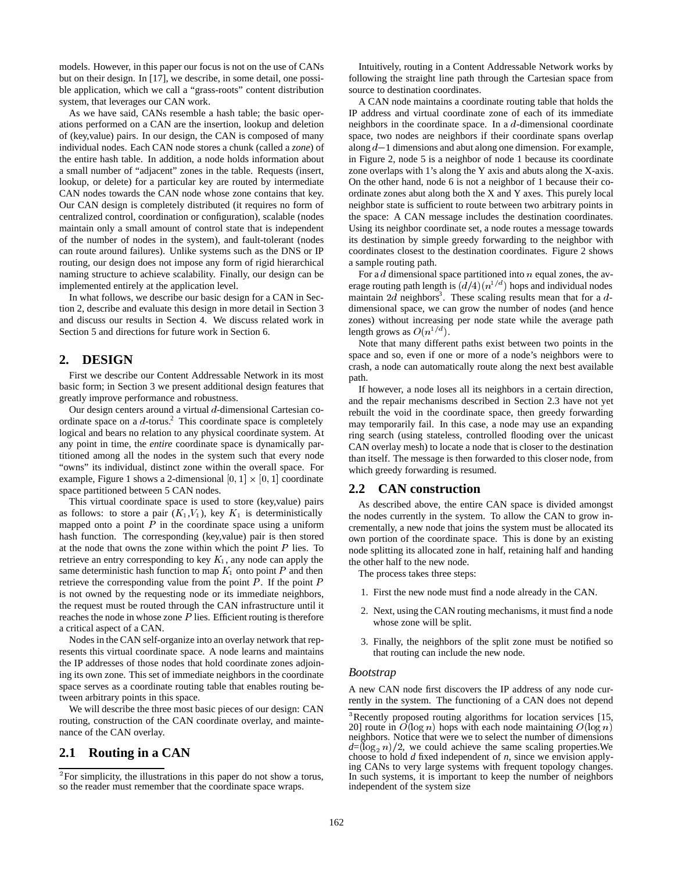models. However, in this paper our focus is not on the use of CANs but on their design. In [17], we describe, in some detail, one possible application, which we call a "grass-roots" content distribution system, that leverages our CAN work.

As we have said, CANs resemble a hash table; the basic operations performed on a CAN are the insertion, lookup and deletion of (key,value) pairs. In our design, the CAN is composed of many individual nodes. Each CAN node stores a chunk (called a *zone*) of the entire hash table. In addition, a node holds information about a small number of "adjacent" zones in the table. Requests (insert, lookup, or delete) for a particular key are routed by intermediate CAN nodes towards the CAN node whose zone contains that key. Our CAN design is completely distributed (it requires no form of centralized control, coordination or configuration), scalable (nodes maintain only a small amount of control state that is independent of the number of nodes in the system), and fault-tolerant (nodes can route around failures). Unlike systems such as the DNS or IP routing, our design does not impose any form of rigid hierarchical naming structure to achieve scalability. Finally, our design can be implemented entirely at the application level.

In what follows, we describe our basic design for a CAN in Section 2, describe and evaluate this design in more detail in Section 3 and discuss our results in Section 4. We discuss related work in Section 5 and directions for future work in Section 6.

# **2. DESIGN**

First we describe our Content Addressable Network in its most basic form; in Section 3 we present additional design features that greatly improve performance and robustness.

Our design centers around a virtual d-dimensional Cartesian coordinate space on a  $d$ -torus.<sup>2</sup> This coordinate space is completely logical and bears no relation to any physical coordinate system. At any point in time, the *entire* coordinate space is dynamically partitioned among all the nodes in the system such that every node "owns" its individual, distinct zone within the overall space. For example, Figure 1 shows a 2-dimensional  $[0, 1] \times [0, 1]$  coordinate space partitioned between 5 CAN nodes.

This virtual coordinate space is used to store (key,value) pairs as follows: to store a pair  $(K_1, V_1)$ , key  $K_1$  is deterministically mapped onto a point  $P$  in the coordinate space using a uniform hash function. The corresponding (key,value) pair is then stored at the node that owns the zone within which the point  $P$  lies. To retrieve an entry corresponding to key  $K_1$ , any node can apply the same deterministic hash function to map  $K_1$  onto point  $P$  and then retrieve the corresponding value from the point  $P$ . If the point  $P$ is not owned by the requesting node or its immediate neighbors, the request must be routed through the CAN infrastructure until it reaches the node in whose zone  $P$  lies. Efficient routing is therefore a critical aspect of a CAN.

Nodes in the CAN self-organize into an overlay network that represents this virtual coordinate space. A node learns and maintains the IP addresses of those nodes that hold coordinate zones adjoining its own zone. This set of immediate neighbors in the coordinate space serves as a coordinate routing table that enables routing between arbitrary points in this space.

We will describe the three most basic pieces of our design: CAN routing, construction of the CAN coordinate overlay, and maintenance of the CAN overlay.

# **2.1 Routing in a CAN**

Intuitively, routing in a Content Addressable Network works by following the straight line path through the Cartesian space from source to destination coordinates.

A CAN node maintains a coordinate routing table that holds the IP address and virtual coordinate zone of each of its immediate neighbors in the coordinate space. In a d-dimensional coordinate space, two nodes are neighbors if their coordinate spans overlap along  $d-1$  dimensions and abut along one dimension. For example, in Figure 2, node 5 is a neighbor of node 1 because its coordinate zone overlaps with 1's along the Y axis and abuts along the X-axis. On the other hand, node 6 is not a neighbor of 1 because their coordinate zones abut along both the X and Y axes. This purely local neighbor state is sufficient to route between two arbitrary points in the space: A CAN message includes the destination coordinates. Using its neighbor coordinate set, a node routes a message towards its destination by simple greedy forwarding to the neighbor with coordinates closest to the destination coordinates. Figure 2 shows a sample routing path.

For a  $d$  dimensional space partitioned into  $n$  equal zones, the average routing path length is  $(d/4)(n^{1/d})$  hops and individual nodes maintain  $2d$  neighbors<sup>3</sup>. These scaling results mean that for a ddimensional space, we can grow the number of nodes (and hence zones) without increasing per node state while the average path length grows as  $O(n^{1/d})$ .

Note that many different paths exist between two points in the space and so, even if one or more of a node's neighbors were to crash, a node can automatically route along the next best available path.

If however, a node loses all its neighbors in a certain direction, and the repair mechanisms described in Section 2.3 have not yet rebuilt the void in the coordinate space, then greedy forwarding may temporarily fail. In this case, a node may use an expanding ring search (using stateless, controlled flooding over the unicast CAN overlay mesh) to locate a node that is closer to the destination than itself. The message is then forwarded to this closer node, from which greedy forwarding is resumed.

### **2.2 CAN construction**

As described above, the entire CAN space is divided amongst the nodes currently in the system. To allow the CAN to grow incrementally, a new node that joins the system must be allocated its own portion of the coordinate space. This is done by an existing node splitting its allocated zone in half, retaining half and handing the other half to the new node.

The process takes three steps:

- 1. First the new node must find a node already in the CAN.
- 2. Next, using the CAN routing mechanisms, it must find a node whose zone will be split.
- 3. Finally, the neighbors of the split zone must be notified so that routing can include the new node.

#### *Bootstrap*

A new CAN node first discovers the IP address of any node currently in the system. The functioning of a CAN does not depend

<sup>&</sup>lt;sup>2</sup> For simplicity, the illustrations in this paper do not show a torus, so the reader must remember that the coordinate space wraps.

<sup>3</sup> Recently proposed routing algorithms for location services [15, 20] route in  $O(\log n)$  hops with each node maintaining  $O(\log n)$ neighbors. Notice that were we to select the number of dimensions  $d=(\log_2 n)/2$ , we could achieve the same scaling properties. We choose to hold *d* fixed independent of *n*, since we envision applying CANs to very large systems with frequent topology changes. In such systems, it is important to keep the number of neighbors independent of the system size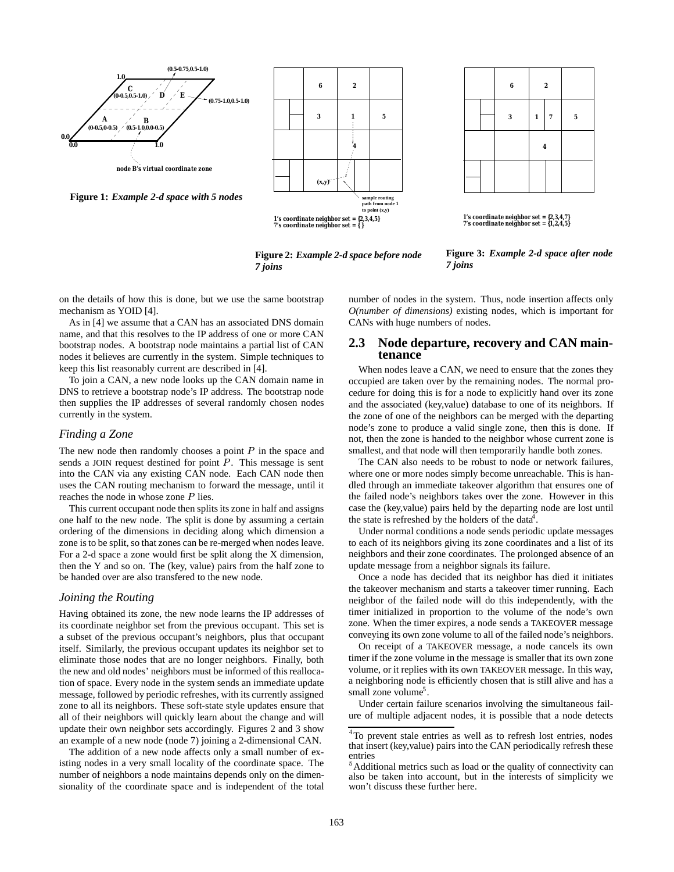

**Figure 1:** *Example 2-d space with 5 nodes*



**7 5 2 3 4 6 1**



**Figure 2:** *Example 2-d space before node 7 joins*

**Figure 3:** *Example 2-d space after node 7 joins*

on the details of how this is done, but we use the same bootstrap mechanism as YOID [4].

As in [4] we assume that a CAN has an associated DNS domain name, and that this resolves to the IP address of one or more CAN bootstrap nodes. A bootstrap node maintains a partial list of CAN nodes it believes are currently in the system. Simple techniques to keep this list reasonably current are described in [4].

To join a CAN, a new node looks up the CAN domain name in DNS to retrieve a bootstrap node's IP address. The bootstrap node then supplies the IP addresses of several randomly chosen nodes currently in the system.

#### *Finding a Zone*

The new node then randomly chooses a point  $P$  in the space and sends a JOIN request destined for point  $\overline{P}$ . This message is sent into the CAN via any existing CAN node. Each CAN node then uses the CAN routing mechanism to forward the message, until it reaches the node in whose zone <sup>P</sup> lies.

This current occupant node then splits its zone in half and assigns one half to the new node. The split is done by assuming a certain ordering of the dimensions in deciding along which dimension a zone is to be split, so that zones can be re-merged when nodes leave. For a 2-d space a zone would first be split along the X dimension, then the Y and so on. The (key, value) pairs from the half zone to be handed over are also transfered to the new node.

#### *Joining the Routing*

Having obtained its zone, the new node learns the IP addresses of its coordinate neighbor set from the previous occupant. This set is a subset of the previous occupant's neighbors, plus that occupant itself. Similarly, the previous occupant updates its neighbor set to eliminate those nodes that are no longer neighbors. Finally, both the new and old nodes' neighbors must be informed of this reallocation of space. Every node in the system sends an immediate update message, followed by periodic refreshes, with its currently assigned zone to all its neighbors. These soft-state style updates ensure that all of their neighbors will quickly learn about the change and will update their own neighbor sets accordingly. Figures 2 and 3 show an example of a new node (node 7) joining a 2-dimensional CAN.

The addition of a new node affects only a small number of existing nodes in a very small locality of the coordinate space. The number of neighbors a node maintains depends only on the dimensionality of the coordinate space and is independent of the total number of nodes in the system. Thus, node insertion affects only *O(number of dimensions)* existing nodes, which is important for CANs with huge numbers of nodes.

### **2.3 Node departure, recovery and CAN maintenance**

When nodes leave a CAN, we need to ensure that the zones they occupied are taken over by the remaining nodes. The normal procedure for doing this is for a node to explicitly hand over its zone and the associated (key,value) database to one of its neighbors. If the zone of one of the neighbors can be merged with the departing node's zone to produce a valid single zone, then this is done. If not, then the zone is handed to the neighbor whose current zone is smallest, and that node will then temporarily handle both zones.

The CAN also needs to be robust to node or network failures, where one or more nodes simply become unreachable. This is handled through an immediate takeover algorithm that ensures one of the failed node's neighbors takes over the zone. However in this case the (key,value) pairs held by the departing node are lost until the state is refreshed by the holders of the data<sup>4</sup>.

Under normal conditions a node sends periodic update messages to each of its neighbors giving its zone coordinates and a list of its neighbors and their zone coordinates. The prolonged absence of an update message from a neighbor signals its failure.

Once a node has decided that its neighbor has died it initiates the takeover mechanism and starts a takeover timer running. Each neighbor of the failed node will do this independently, with the timer initialized in proportion to the volume of the node's own zone. When the timer expires, a node sends a TAKEOVER message conveying its own zone volume to all of the failed node's neighbors.

On receipt of a TAKEOVER message, a node cancels its own timer if the zone volume in the message is smaller that its own zone volume, or it replies with its own TAKEOVER message. In this way, a neighboring node is efficiently chosen that is still alive and has a small zone volume<sup>5</sup>.

Under certain failure scenarios involving the simultaneous failure of multiple adjacent nodes, it is possible that a node detects

<sup>4</sup> To prevent stale entries as well as to refresh lost entries, nodes that insert (key,value) pairs into the CAN periodically refresh these entries

<sup>&</sup>lt;sup>5</sup>Additional metrics such as load or the quality of connectivity can also be taken into account, but in the interests of simplicity we won't discuss these further here.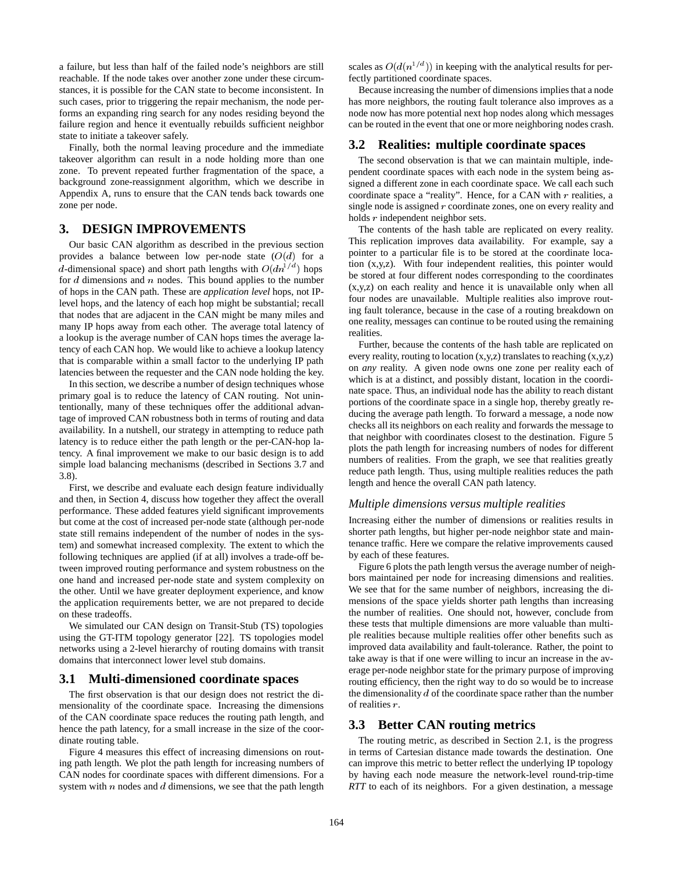a failure, but less than half of the failed node's neighbors are still reachable. If the node takes over another zone under these circumstances, it is possible for the CAN state to become inconsistent. In such cases, prior to triggering the repair mechanism, the node performs an expanding ring search for any nodes residing beyond the failure region and hence it eventually rebuilds sufficient neighbor state to initiate a takeover safely.

Finally, both the normal leaving procedure and the immediate takeover algorithm can result in a node holding more than one zone. To prevent repeated further fragmentation of the space, a background zone-reassignment algorithm, which we describe in Appendix A, runs to ensure that the CAN tends back towards one zone per node.

# **3. DESIGN IMPROVEMENTS**

Our basic CAN algorithm as described in the previous section provides a balance between low per-node state  $(O(d))$  for a d-dimensional space) and short path lengths with  $O(dn^{1/d})$  hops for  $d$  dimensions and  $n$  nodes. This bound applies to the number of hops in the CAN path. These are *application level* hops, not IPlevel hops, and the latency of each hop might be substantial; recall that nodes that are adjacent in the CAN might be many miles and many IP hops away from each other. The average total latency of a lookup is the average number of CAN hops times the average latency of each CAN hop. We would like to achieve a lookup latency that is comparable within a small factor to the underlying IP path latencies between the requester and the CAN node holding the key.

In this section, we describe a number of design techniques whose primary goal is to reduce the latency of CAN routing. Not unintentionally, many of these techniques offer the additional advantage of improved CAN robustness both in terms of routing and data availability. In a nutshell, our strategy in attempting to reduce path latency is to reduce either the path length or the per-CAN-hop latency. A final improvement we make to our basic design is to add simple load balancing mechanisms (described in Sections 3.7 and 3.8).

First, we describe and evaluate each design feature individually and then, in Section 4, discuss how together they affect the overall performance. These added features yield significant improvements but come at the cost of increased per-node state (although per-node state still remains independent of the number of nodes in the system) and somewhat increased complexity. The extent to which the following techniques are applied (if at all) involves a trade-off between improved routing performance and system robustness on the one hand and increased per-node state and system complexity on the other. Until we have greater deployment experience, and know the application requirements better, we are not prepared to decide on these tradeoffs.

We simulated our CAN design on Transit-Stub (TS) topologies using the GT-ITM topology generator [22]. TS topologies model networks using a 2-level hierarchy of routing domains with transit domains that interconnect lower level stub domains.

### **3.1 Multi-dimensioned coordinate spaces**

The first observation is that our design does not restrict the dimensionality of the coordinate space. Increasing the dimensions of the CAN coordinate space reduces the routing path length, and hence the path latency, for a small increase in the size of the coordinate routing table.

Figure 4 measures this effect of increasing dimensions on routing path length. We plot the path length for increasing numbers of CAN nodes for coordinate spaces with different dimensions. For a system with  $n$  nodes and  $d$  dimensions, we see that the path length

scales as  $O(d(n^{1/d}))$  in keeping with the analytical results for perfectly partitioned coordinate spaces.

Because increasing the number of dimensions implies that a node has more neighbors, the routing fault tolerance also improves as a node now has more potential next hop nodes along which messages can be routed in the event that one or more neighboring nodes crash.

### **3.2 Realities: multiple coordinate spaces**

The second observation is that we can maintain multiple, independent coordinate spaces with each node in the system being assigned a different zone in each coordinate space. We call each such coordinate space a "reality". Hence, for a CAN with  $r$  realities, a single node is assigned r coordinate zones, one on every reality and holds <sup>r</sup> independent neighbor sets.

The contents of the hash table are replicated on every reality. This replication improves data availability. For example, say a pointer to a particular file is to be stored at the coordinate location (x,y,z). With four independent realities, this pointer would be stored at four different nodes corresponding to the coordinates (x,y,z) on each reality and hence it is unavailable only when all four nodes are unavailable. Multiple realities also improve routing fault tolerance, because in the case of a routing breakdown on one reality, messages can continue to be routed using the remaining realities.

Further, because the contents of the hash table are replicated on every reality, routing to location (x,y,z) translates to reaching (x,y,z) on *any* reality. A given node owns one zone per reality each of which is at a distinct, and possibly distant, location in the coordinate space. Thus, an individual node has the ability to reach distant portions of the coordinate space in a single hop, thereby greatly reducing the average path length. To forward a message, a node now checks all its neighbors on each reality and forwards the message to that neighbor with coordinates closest to the destination. Figure 5 plots the path length for increasing numbers of nodes for different numbers of realities. From the graph, we see that realities greatly reduce path length. Thus, using multiple realities reduces the path length and hence the overall CAN path latency.

#### *Multiple dimensions versus multiple realities*

Increasing either the number of dimensions or realities results in shorter path lengths, but higher per-node neighbor state and maintenance traffic. Here we compare the relative improvements caused by each of these features.

Figure 6 plots the path length versus the average number of neighbors maintained per node for increasing dimensions and realities. We see that for the same number of neighbors, increasing the dimensions of the space yields shorter path lengths than increasing the number of realities. One should not, however, conclude from these tests that multiple dimensions are more valuable than multiple realities because multiple realities offer other benefits such as improved data availability and fault-tolerance. Rather, the point to take away is that if one were willing to incur an increase in the average per-node neighbor state for the primary purpose of improving routing efficiency, then the right way to do so would be to increase the dimensionality  $d$  of the coordinate space rather than the number of realities r.

#### **3.3 Better CAN routing metrics**

The routing metric, as described in Section 2.1, is the progress in terms of Cartesian distance made towards the destination. One can improve this metric to better reflect the underlying IP topology by having each node measure the network-level round-trip-time *RTT* to each of its neighbors. For a given destination, a message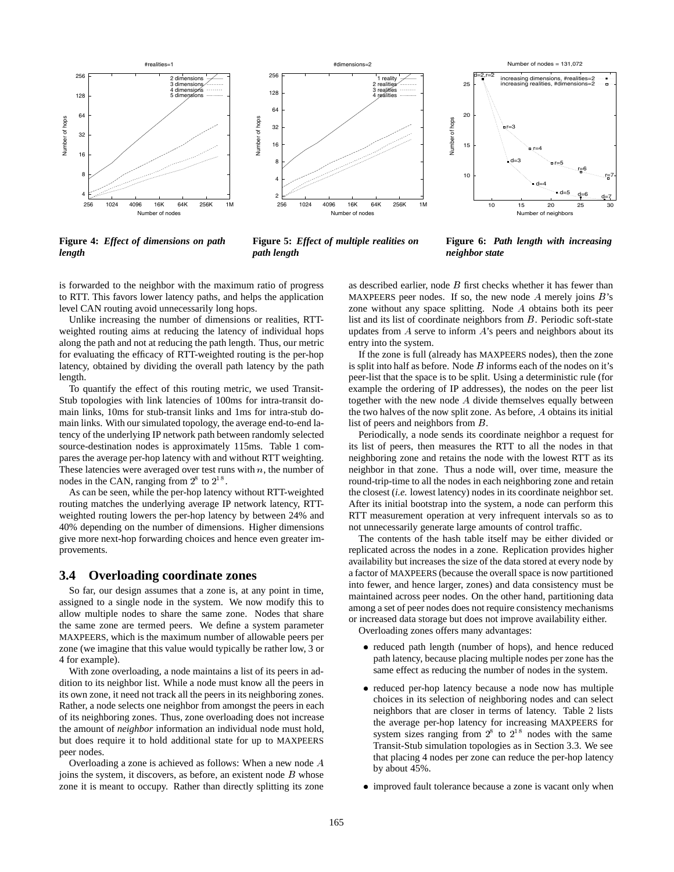



**Figure 4:** *Effect of dimensions on path length*

**Figure 5:** *Effect of multiple realities on path length*



**Figure 6:** *Path length with increasing neighbor state*

is forwarded to the neighbor with the maximum ratio of progress to RTT. This favors lower latency paths, and helps the application level CAN routing avoid unnecessarily long hops.

Unlike increasing the number of dimensions or realities, RTTweighted routing aims at reducing the latency of individual hops along the path and not at reducing the path length. Thus, our metric for evaluating the efficacy of RTT-weighted routing is the per-hop latency, obtained by dividing the overall path latency by the path length.

To quantify the effect of this routing metric, we used Transit-Stub topologies with link latencies of 100ms for intra-transit domain links, 10ms for stub-transit links and 1ms for intra-stub domain links. With our simulated topology, the average end-to-end latency of the underlying IP network path between randomly selected source-destination nodes is approximately 115ms. Table 1 compares the average per-hop latency with and without RTT weighting. These latencies were averaged over test runs with  $n$ , the number of nodes in the CAN, ranging from  $2^8$  to  $2^{18}$ .

As can be seen, while the per-hop latency without RTT-weighted routing matches the underlying average IP network latency, RTTweighted routing lowers the per-hop latency by between 24% and 40% depending on the number of dimensions. Higher dimensions give more next-hop forwarding choices and hence even greater improvements.

### **3.4 Overloading coordinate zones**

So far, our design assumes that a zone is, at any point in time, assigned to a single node in the system. We now modify this to allow multiple nodes to share the same zone. Nodes that share the same zone are termed peers. We define a system parameter MAXPEERS, which is the maximum number of allowable peers per zone (we imagine that this value would typically be rather low, 3 or 4 for example).

With zone overloading, a node maintains a list of its peers in addition to its neighbor list. While a node must know all the peers in its own zone, it need not track all the peers in its neighboring zones. Rather, a node selects one neighbor from amongst the peers in each of its neighboring zones. Thus, zone overloading does not increase the amount of *neighbor* information an individual node must hold, but does require it to hold additional state for up to MAXPEERS peer nodes.

Overloading a zone is achieved as follows: When a new node <sup>A</sup> joins the system, it discovers, as before, an existent node  $B$  whose zone it is meant to occupy. Rather than directly splitting its zone as described earlier, node  $B$  first checks whether it has fewer than MAXPEERS peer nodes. If so, the new node  $A$  merely joins  $B$ 's zone without any space splitting. Node A obtains both its peer list and its list of coordinate neighbors from <sup>B</sup>. Periodic soft-state updates from  $A$  serve to inform  $A$ 's peers and neighbors about its entry into the system.

If the zone is full (already has MAXPEERS nodes), then the zone is split into half as before. Node  $B$  informs each of the nodes on it's peer-list that the space is to be split. Using a deterministic rule (for example the ordering of IP addresses), the nodes on the peer list together with the new node A divide themselves equally between the two halves of the now split zone. As before, A obtains its initial list of peers and neighbors from B.

Periodically, a node sends its coordinate neighbor a request for its list of peers, then measures the RTT to all the nodes in that neighboring zone and retains the node with the lowest RTT as its neighbor in that zone. Thus a node will, over time, measure the round-trip-time to all the nodes in each neighboring zone and retain the closest (*i.e.* lowest latency) nodes in its coordinate neighbor set. After its initial bootstrap into the system, a node can perform this RTT measurement operation at very infrequent intervals so as to not unnecessarily generate large amounts of control traffic.

The contents of the hash table itself may be either divided or replicated across the nodes in a zone. Replication provides higher availability but increases the size of the data stored at every node by a factor of MAXPEERS (because the overall space is now partitioned into fewer, and hence larger, zones) and data consistency must be maintained across peer nodes. On the other hand, partitioning data among a set of peer nodes does not require consistency mechanisms or increased data storage but does not improve availability either.

Overloading zones offers many advantages:

- reduced path length (number of hops), and hence reduced path latency, because placing multiple nodes per zone has the same effect as reducing the number of nodes in the system.
- reduced per-hop latency because a node now has multiple choices in its selection of neighboring nodes and can select neighbors that are closer in terms of latency. Table 2 lists the average per-hop latency for increasing MAXPEERS for system sizes ranging from  $2^8$  to  $2^{18}$  nodes with the same Transit-Stub simulation topologies as in Section 3.3. We see that placing 4 nodes per zone can reduce the per-hop latency by about 45%.
- improved fault tolerance because a zone is vacant only when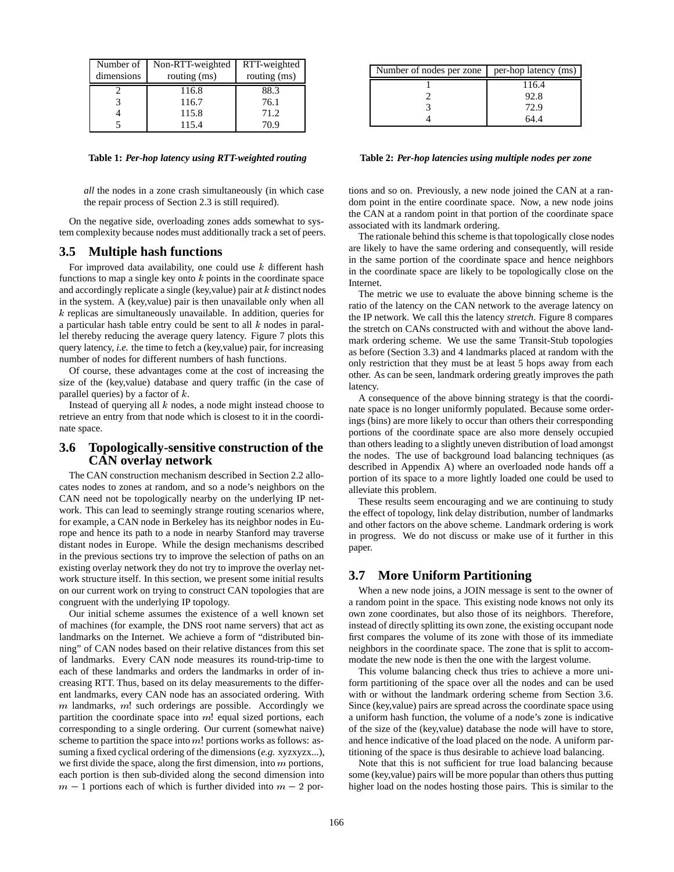| Number of  | Non-RTT-weighted | RTT-weighted |
|------------|------------------|--------------|
| dimensions | routing (ms)     | routing (ms) |
|            | 116.8            | 88.3         |
|            | 116.7            | 76.1         |
|            | 115.8            | 71.2         |
|            | 115.4            | 70.9         |

#### **Table 1:** *Per-hop latency using RTT-weighted routing*

*all* the nodes in a zone crash simultaneously (in which case the repair process of Section 2.3 is still required).

On the negative side, overloading zones adds somewhat to system complexity because nodes must additionally track a set of peers.

#### **3.5 Multiple hash functions**

For improved data availability, one could use  $k$  different hash functions to map a single key onto  $k$  points in the coordinate space and accordingly replicate a single (key, value) pair at  $k$  distinct nodes in the system. A (key,value) pair is then unavailable only when all  $k$  replicas are simultaneously unavailable. In addition, queries for a particular hash table entry could be sent to all  $k$  nodes in parallel thereby reducing the average query latency. Figure 7 plots this query latency, *i.e.* the time to fetch a (key,value) pair, for increasing number of nodes for different numbers of hash functions.

Of course, these advantages come at the cost of increasing the size of the (key,value) database and query traffic (in the case of parallel queries) by a factor of  $k$ .

Instead of querying all  $k$  nodes, a node might instead choose to retrieve an entry from that node which is closest to it in the coordinate space.

# **3.6 Topologically-sensitive construction of the CAN overlay network**

The CAN construction mechanism described in Section 2.2 allocates nodes to zones at random, and so a node's neighbors on the CAN need not be topologically nearby on the underlying IP network. This can lead to seemingly strange routing scenarios where, for example, a CAN node in Berkeley has its neighbor nodes in Europe and hence its path to a node in nearby Stanford may traverse distant nodes in Europe. While the design mechanisms described in the previous sections try to improve the selection of paths on an existing overlay network they do not try to improve the overlay network structure itself. In this section, we present some initial results on our current work on trying to construct CAN topologies that are congruent with the underlying IP topology.

Our initial scheme assumes the existence of a well known set of machines (for example, the DNS root name servers) that act as landmarks on the Internet. We achieve a form of "distributed binning" of CAN nodes based on their relative distances from this set of landmarks. Every CAN node measures its round-trip-time to each of these landmarks and orders the landmarks in order of increasing RTT. Thus, based on its delay measurements to the different landmarks, every CAN node has an associated ordering. With  $m$  landmarks,  $m!$  such orderings are possible. Accordingly we partition the coordinate space into  $m!$  equal sized portions, each corresponding to a single ordering. Our current (somewhat naive) scheme to partition the space into  $m!$  portions works as follows: assuming a fixed cyclical ordering of the dimensions (*e.g.* xyzxyzx...), we first divide the space, along the first dimension, into  $m$  portions, each portion is then sub-divided along the second dimension into  $m - 1$  portions each of which is further divided into  $m - 2$  por-

| Number of nodes per zone | per-hop latency (ms) |  |
|--------------------------|----------------------|--|
|                          | 116.4                |  |
|                          | 92.8                 |  |
|                          | 72.9                 |  |
|                          | 64 4                 |  |

**Table 2:** *Per-hop latencies using multiple nodes per zone*

tions and so on. Previously, a new node joined the CAN at a random point in the entire coordinate space. Now, a new node joins the CAN at a random point in that portion of the coordinate space associated with its landmark ordering.

The rationale behind this scheme is that topologically close nodes are likely to have the same ordering and consequently, will reside in the same portion of the coordinate space and hence neighbors in the coordinate space are likely to be topologically close on the Internet.

The metric we use to evaluate the above binning scheme is the ratio of the latency on the CAN network to the average latency on the IP network. We call this the latency *stretch*. Figure 8 compares the stretch on CANs constructed with and without the above landmark ordering scheme. We use the same Transit-Stub topologies as before (Section 3.3) and 4 landmarks placed at random with the only restriction that they must be at least 5 hops away from each other. As can be seen, landmark ordering greatly improves the path latency.

A consequence of the above binning strategy is that the coordinate space is no longer uniformly populated. Because some orderings (bins) are more likely to occur than others their corresponding portions of the coordinate space are also more densely occupied than others leading to a slightly uneven distribution of load amongst the nodes. The use of background load balancing techniques (as described in Appendix A) where an overloaded node hands off a portion of its space to a more lightly loaded one could be used to alleviate this problem.

These results seem encouraging and we are continuing to study the effect of topology, link delay distribution, number of landmarks and other factors on the above scheme. Landmark ordering is work in progress. We do not discuss or make use of it further in this paper.

### **3.7 More Uniform Partitioning**

When a new node joins, a JOIN message is sent to the owner of a random point in the space. This existing node knows not only its own zone coordinates, but also those of its neighbors. Therefore, instead of directly splitting its own zone, the existing occupant node first compares the volume of its zone with those of its immediate neighbors in the coordinate space. The zone that is split to accommodate the new node is then the one with the largest volume.

This volume balancing check thus tries to achieve a more uniform partitioning of the space over all the nodes and can be used with or without the landmark ordering scheme from Section 3.6. Since (key,value) pairs are spread across the coordinate space using a uniform hash function, the volume of a node's zone is indicative of the size of the (key,value) database the node will have to store, and hence indicative of the load placed on the node. A uniform partitioning of the space is thus desirable to achieve load balancing.

Note that this is not sufficient for true load balancing because some (key,value) pairs will be more popular than others thus putting higher load on the nodes hosting those pairs. This is similar to the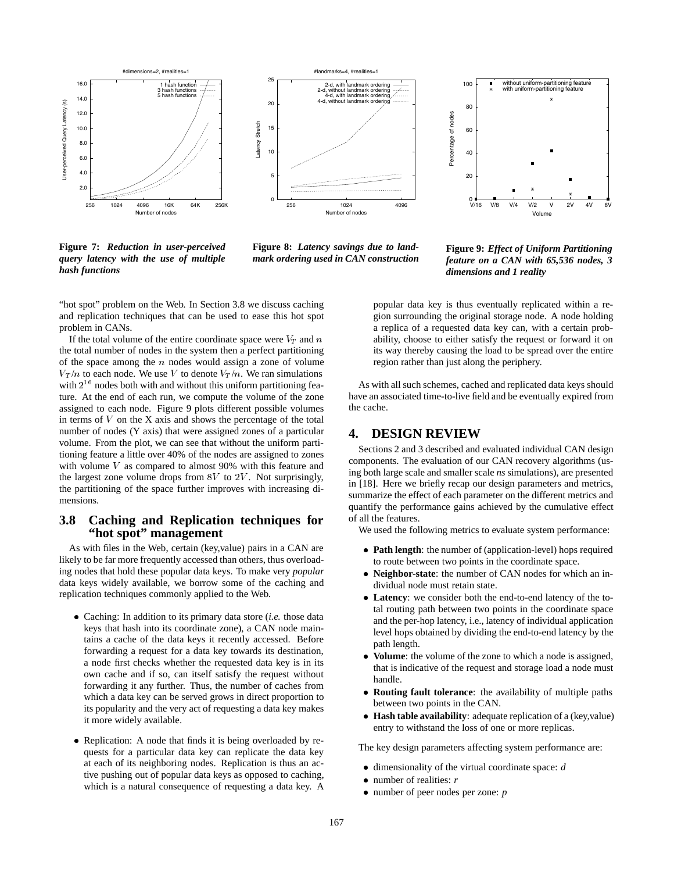

#landmarks=4, #realities=1 25 2-d, with landmark 2-d, without landmark ordering 4-d, with landmark ordering 4-d, without landmark ordering 20 Latency Stretch Latency Stretch 15 10 5 0 256 1024 4096 Number of nodes

**Figure 7:** *Reduction in user-perceived query latency with the use of multiple hash functions*

**Figure 8:** *Latency savings due to landmark ordering used in CAN construction*

without uniform-partitioning feature 100 with uniform-partitioning 80 Percentage of nodes Percentage of nodes 60 40 20  $0 +$ <br> $V/16$ V/16 V/8 V/4 V/2 V 2V 4V 8V  $Vol$ 

**Figure 9:** *Effect of Uniform Partitioning feature on a CAN with 65,536 nodes, 3 dimensions and 1 reality*

"hot spot" problem on the Web. In Section 3.8 we discuss caching and replication techniques that can be used to ease this hot spot problem in CANs.

If the total volume of the entire coordinate space were  $V_T$  and n the total number of nodes in the system then a perfect partitioning of the space among the  $n$  nodes would assign a zone of volume  $V_T/n$  to each node. We use V to denote  $V_T/n$ . We ran simulations with  $2^{16}$  nodes both with and without this uniform partitioning feature. At the end of each run, we compute the volume of the zone assigned to each node. Figure 9 plots different possible volumes in terms of  $V$  on the  $X$  axis and shows the percentage of the total number of nodes (Y axis) that were assigned zones of a particular volume. From the plot, we can see that without the uniform partitioning feature a little over 40% of the nodes are assigned to zones with volume V as compared to almost 90% with this feature and the largest zone volume drops from  $8V$  to  $2V$ . Not surprisingly, the partitioning of the space further improves with increasing dimensions.

# **3.8 Caching and Replication techniques for "hot spot" management**

As with files in the Web, certain (key,value) pairs in a CAN are likely to be far more frequently accessed than others, thus overloading nodes that hold these popular data keys. To make very *popular* data keys widely available, we borrow some of the caching and replication techniques commonly applied to the Web.

- Caching: In addition to its primary data store (*i.e.* those data keys that hash into its coordinate zone), a CAN node maintains a cache of the data keys it recently accessed. Before forwarding a request for a data key towards its destination, a node first checks whether the requested data key is in its own cache and if so, can itself satisfy the request without forwarding it any further. Thus, the number of caches from which a data key can be served grows in direct proportion to its popularity and the very act of requesting a data key makes it more widely available.
- Replication: A node that finds it is being overloaded by requests for a particular data key can replicate the data key at each of its neighboring nodes. Replication is thus an active pushing out of popular data keys as opposed to caching, which is a natural consequence of requesting a data key. A

popular data key is thus eventually replicated within a region surrounding the original storage node. A node holding a replica of a requested data key can, with a certain probability, choose to either satisfy the request or forward it on its way thereby causing the load to be spread over the entire region rather than just along the periphery.

As with all such schemes, cached and replicated data keys should have an associated time-to-live field and be eventually expired from the cache.

#### **4. DESIGN REVIEW**

Sections 2 and 3 described and evaluated individual CAN design components. The evaluation of our CAN recovery algorithms (using both large scale and smaller scale *ns* simulations), are presented in [18]. Here we briefly recap our design parameters and metrics, summarize the effect of each parameter on the different metrics and quantify the performance gains achieved by the cumulative effect of all the features.

We used the following metrics to evaluate system performance:

- **Path length**: the number of (application-level) hops required to route between two points in the coordinate space.
- **Neighbor-state**: the number of CAN nodes for which an individual node must retain state.
- **Latency**: we consider both the end-to-end latency of the total routing path between two points in the coordinate space and the per-hop latency, i.e., latency of individual application level hops obtained by dividing the end-to-end latency by the path length.
- **Volume**: the volume of the zone to which a node is assigned, that is indicative of the request and storage load a node must handle.
- **Routing fault tolerance**: the availability of multiple paths between two points in the CAN.
- **Hash table availability**: adequate replication of a (key,value) entry to withstand the loss of one or more replicas.

The key design parameters affecting system performance are:

- dimensionality of the virtual coordinate space: *d*
- number of realities: *r*
- number of peer nodes per zone: *p*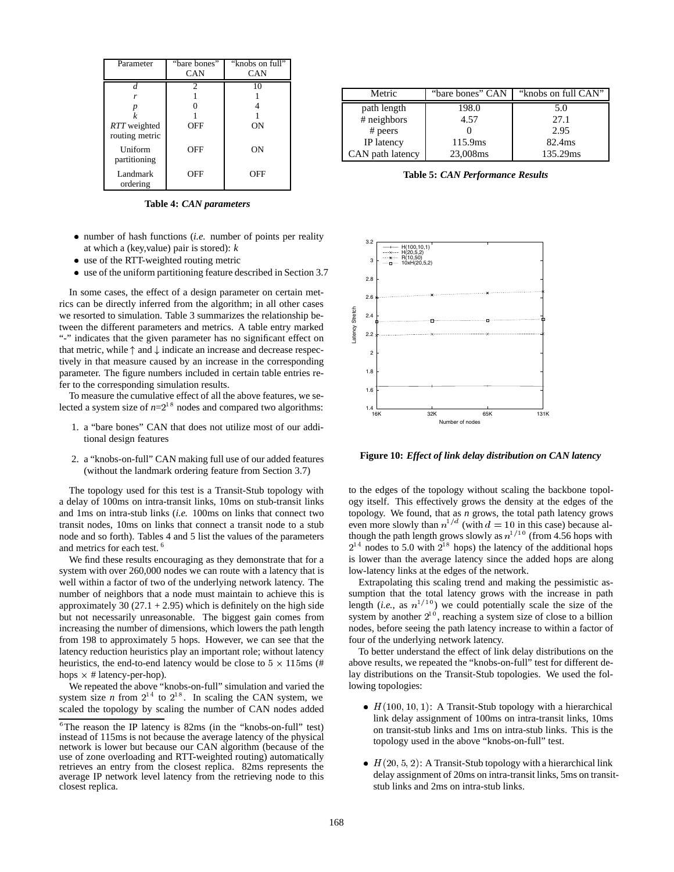| Parameter                      | "bare bones"<br>CAN | "knobs on full"<br><b>CAN</b> |
|--------------------------------|---------------------|-------------------------------|
|                                |                     |                               |
|                                |                     |                               |
|                                |                     |                               |
|                                |                     |                               |
| RTT weighted<br>routing metric | OFF                 | ON                            |
| Uniform<br>partitioning        | OFF                 | ON                            |
| Landmark<br>ordering           | OFF                 | OFF                           |

**Table 4:** *CAN parameters*

- number of hash functions (*i.e.* number of points per reality at which a (key,value) pair is stored): *k*
- use of the RTT-weighted routing metric
- use of the uniform partitioning feature described in Section 3.7

In some cases, the effect of a design parameter on certain metrics can be directly inferred from the algorithm; in all other cases we resorted to simulation. Table 3 summarizes the relationship between the different parameters and metrics. A table entry marked "-" indicates that the given parameter has no significant effect on that metric, while  $\uparrow$  and  $\downarrow$  indicate an increase and decrease respectively in that measure caused by an increase in the corresponding parameter. The figure numbers included in certain table entries refer to the corresponding simulation results.

To measure the cumulative effect of all the above features, we selected a system size of  $n=2^{18}$  nodes and compared two algorithms:

- 1. a "bare bones" CAN that does not utilize most of our additional design features
- 2. a "knobs-on-full" CAN making full use of our added features (without the landmark ordering feature from Section 3.7)

The topology used for this test is a Transit-Stub topology with a delay of 100ms on intra-transit links, 10ms on stub-transit links and 1ms on intra-stub links (*i.e.* 100ms on links that connect two transit nodes, 10ms on links that connect a transit node to a stub node and so forth). Tables 4 and 5 list the values of the parameters and metrics for each test.  $\frac{1}{2}$ 

We find these results encouraging as they demonstrate that for a system with over 260,000 nodes we can route with a latency that is well within a factor of two of the underlying network latency. The number of neighbors that a node must maintain to achieve this is approximately 30 (27.1 + 2.95) which is definitely on the high side but not necessarily unreasonable. The biggest gain comes from increasing the number of dimensions, which lowers the path length from 198 to approximately 5 hops. However, we can see that the latency reduction heuristics play an important role; without latency heuristics, the end-to-end latency would be close to  $5 \times 115 \text{ms}$  (# hops  $\times$  # latency-per-hop).

We repeated the above "knobs-on-full" simulation and varied the system size *n* from  $2^{14}$  to  $2^{18}$ . In scaling the CAN system, we scaled the topology by scaling the number of CAN nodes added

| Metric           | "bare bones" CAN | "knobs on full CAN" |
|------------------|------------------|---------------------|
| path length      | 198.0            | 5.0                 |
| # neighbors      | 4.57             | 27.1                |
| # peers          |                  | 2.95                |
| IP latency       | 115.9ms          | 82.4ms              |
| CAN path latency | 23,008ms         | 135.29ms            |

**Table 5:** *CAN Performance Results*



**Figure 10:** *Effect of link delay distribution on CAN latency*

to the edges of the topology without scaling the backbone topology itself. This effectively grows the density at the edges of the topology. We found, that as *n* grows, the total path latency grows even more slowly than  $n^{1/d}$  (with  $d = 10$  in this case) because although the path length grows slowly as  $n^{1/10}$  (from 4.56 hops with  $2^{14}$  nodes to 5.0 with  $2^{18}$  hops) the latency of the additional hops is lower than the average latency since the added hops are along low-latency links at the edges of the network.

Extrapolating this scaling trend and making the pessimistic assumption that the total latency grows with the increase in path length (*i.e.*, as  $n^{1/10}$ ) we could potentially scale the size of the system by another  $2^{10}$ , reaching a system size of close to a billion nodes, before seeing the path latency increase to within a factor of four of the underlying network latency.

To better understand the effect of link delay distributions on the above results, we repeated the "knobs-on-full" test for different delay distributions on the Transit-Stub topologies. We used the following topologies:

- $\bullet$   $H(100, 10, 1)$ : A Transit-Stub topology with a hierarchical link delay assignment of 100ms on intra-transit links, 10ms on transit-stub links and 1ms on intra-stub links. This is the topology used in the above "knobs-on-full" test.
- $\bullet$   $H(20, 5, 2)$ : A Transit-Stub topology with a hierarchical link delay assignment of 20ms on intra-transit links, 5ms on transitstub links and 2ms on intra-stub links.

<sup>&</sup>lt;sup>6</sup>The reason the IP latency is 82ms (in the "knobs-on-full" test) instead of 115ms is not because the average latency of the physical network is lower but because our CAN algorithm (because of the use of zone overloading and RTT-weighted routing) automatically retrieves an entry from the closest replica. 82ms represents the average IP network level latency from the retrieving node to this closest replica.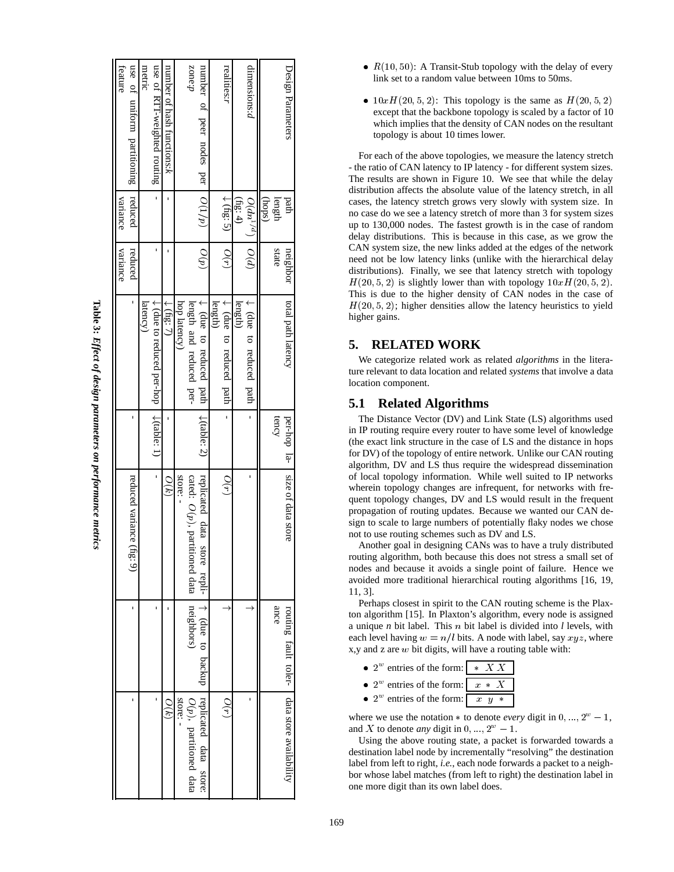| Design Parameters                     | path                  | neighbor       | total path latency                                             | per-hop la-             | size of data store               | routing fault toler- | data store availability           |
|---------------------------------------|-----------------------|----------------|----------------------------------------------------------------|-------------------------|----------------------------------|----------------------|-----------------------------------|
|                                       | length                | state          |                                                                | tency                   |                                  | ance                 |                                   |
|                                       | (sdou)                |                |                                                                |                         |                                  |                      |                                   |
| dimensions:d                          | $O(dn^{1/a})$         | O(b)           | $\downarrow$ (due to reduced path                              |                         |                                  |                      |                                   |
|                                       | $(\dot{H}g:4)$        |                | length)                                                        |                         |                                  |                      |                                   |
| realities:                            | $\downarrow$ (fig: 5) | $1$ O(r)       | $\downarrow$ (due to reduced path                              |                         | Ur                               |                      | J٢                                |
|                                       |                       |                | length)                                                        |                         |                                  |                      |                                   |
| number of peer nodes per $O(1/p)$     |                       | $\overline{d}$ | $\downarrow$ (due to reduced path                              | $\downarrow$ (table: 2) | replicated data store repli-     | T (due to backup     | replicated data store:            |
| zone:p                                |                       |                | length and reduced per-                                        |                         | cated: $O(p)$ , partitioned data | neighbors)           | ${\cal O}(p),\,$ partitioned data |
|                                       |                       |                | hop latency)                                                   |                         | store: -                         |                      | store: -                          |
| $n$ and $o$ is a has h functions: $k$ |                       |                | $\downarrow$ (fig: 7)                                          |                         | O(k)                             |                      | $\mathcal{C}(\mathcal{k})$        |
| use of RTT-weighted routing           | ï                     |                | $\downarrow$ (due to reduced per-hop   $\downarrow$ (table: 1) |                         | ı                                |                      |                                   |
| metric                                |                       |                | latency)                                                       |                         |                                  |                      |                                   |
| use of uniform partitioning           | reduced               | reduced        |                                                                |                         | reduced variance (fig<br>ۼ       |                      |                                   |
| teature                               | variance              | variance       |                                                                |                         |                                  |                      |                                   |
|                                       |                       |                |                                                                |                         |                                  |                      |                                   |

**Table 3:** *Effect of design parameters on performance metrics*

- $R(10, 50)$ : A Transit-Stub topology with the delay of every link set to a random value between 10ms to 50ms.
- $10xH(20, 5, 2)$ : This topology is the same as  $H(20, 5, 2)$ except that the backbone topology is scaled by a factor of 10 which implies that the density of CAN nodes on the resultant topology is about 10 times lower.

For each of the above topologies, we measure the latency stretch - the ratio of CAN latency to IP latency - for different system sizes. The results are shown in Figure 10. We see that while the delay distribution affects the absolute value of the latency stretch, in all cases, the latency stretch grows very slowly with system size. In no case do we see a latency stretch of more than 3 for system sizes up to 130,000 nodes. The fastest growth is in the case of random delay distributions. This is because in this case, as we grow the CAN system size, the new links added at the edges of the network need not be low latency links (unlike with the hierarchical delay distributions). Finally, we see that latency stretch with topology  $H(20, 5, 2)$  is slightly lower than with topology  $10xH(20, 5, 2)$ . This is due to the higher density of CAN nodes in the case of  $H(20, 5, 2)$ ; higher densities allow the latency heuristics to yield higher gains.

## **5. RELATED WORK**

We categorize related work as related *algorithms* in the literature relevant to data location and related *systems* that involve a data location component.

## **5.1 Related Algorithms**

The Distance Vector (DV) and Link State (LS) algorithms used in IP routing require every router to have some level of knowledge (the exact link structure in the case of LS and the distance in hops for DV) of the topology of entire network. Unlike our CAN routing algorithm, DV and LS thus require the widespread dissemination of local topology information. While well suited to IP networks wherein topology changes are infrequent, for networks with frequent topology changes, DV and LS would result in the frequent propagation of routing updates. Because we wanted our CAN design to scale to large numbers of potentially flaky nodes we chose not to use routing schemes such as DV and LS.

Another goal in designing CANs was to have a truly distributed routing algorithm, both because this does not stress a small set of nodes and because it avoids a single point of failure. Hence we avoided more traditional hierarchical routing algorithms [16, 19, 11, 3].

Perhaps closest in spirit to the CAN routing scheme is the Plaxton algorithm [15]. In Plaxton's algorithm, every node is assigned a unique *n* bit label. This n bit label is divided into *l* levels, with each level having  $w = n/l$  bits. A node with label, say  $xyz$ , where x,y and z are  $w$  bit digits, will have a routing table with:

- $\bullet$  2<sup>*w*</sup> entries of the form:  $*$  X
- $\Delta$  $\mathbf{y}$  $\bullet$  2<sup>*w*</sup> entries of the form:
- $\bullet$  2<sup>*w*</sup> entries of the form:  $\ast$ x y the contract of the contract of the contract of the contract of the contract of

where we use the notation  $*$  to denote *every* digit in  $0, \ldots, 2^w - 1$ , and X to denote *any* digit in  $0, ..., 2^w - 1$ .

x

X

Using the above routing state, a packet is forwarded towards a destination label node by incrementally "resolving" the destination label from left to right, *i.e.*, each node forwards a packet to a neighbor whose label matches (from left to right) the destination label in one more digit than its own label does.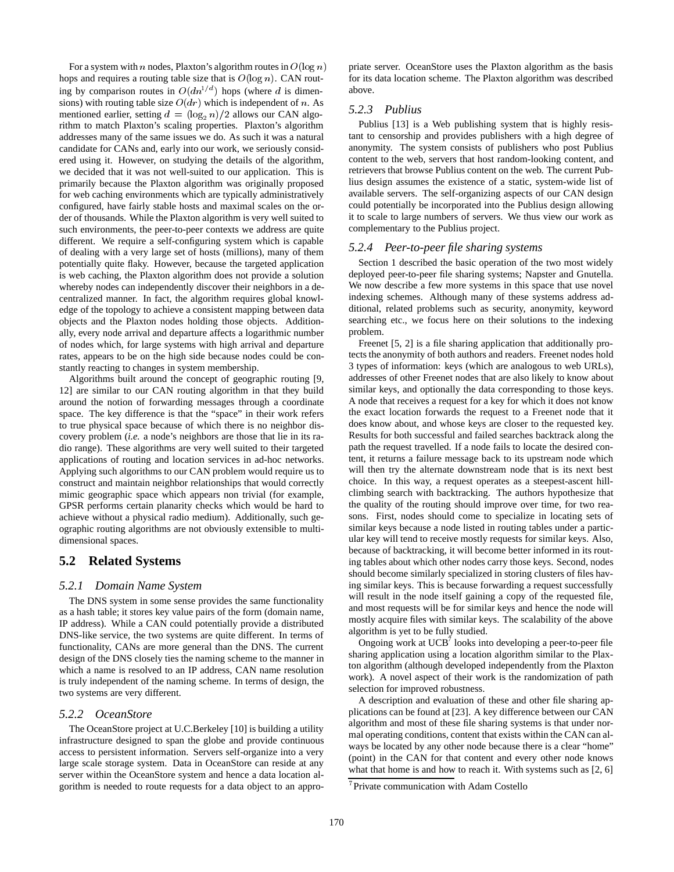For a system with n nodes, Plaxton's algorithm routes in  $O(\log n)$ hops and requires a routing table size that is  $O(\log n)$ . CAN routing by comparison routes in  $O(dn^{1/d})$  hops (where d is dimensions) with routing table size  $O(dr)$  which is independent of n. As mentioned earlier, setting  $d = (\log_2 n)/2$  allows our CAN algorithm to match Plaxton's scaling properties. Plaxton's algorithm addresses many of the same issues we do. As such it was a natural candidate for CANs and, early into our work, we seriously considered using it. However, on studying the details of the algorithm, we decided that it was not well-suited to our application. This is primarily because the Plaxton algorithm was originally proposed for web caching environments which are typically administratively configured, have fairly stable hosts and maximal scales on the order of thousands. While the Plaxton algorithm is very well suited to such environments, the peer-to-peer contexts we address are quite different. We require a self-configuring system which is capable of dealing with a very large set of hosts (millions), many of them potentially quite flaky. However, because the targeted application is web caching, the Plaxton algorithm does not provide a solution whereby nodes can independently discover their neighbors in a decentralized manner. In fact, the algorithm requires global knowledge of the topology to achieve a consistent mapping between data objects and the Plaxton nodes holding those objects. Additionally, every node arrival and departure affects a logarithmic number of nodes which, for large systems with high arrival and departure rates, appears to be on the high side because nodes could be constantly reacting to changes in system membership.

Algorithms built around the concept of geographic routing [9, 12] are similar to our CAN routing algorithm in that they build around the notion of forwarding messages through a coordinate space. The key difference is that the "space" in their work refers to true physical space because of which there is no neighbor discovery problem (*i.e.* a node's neighbors are those that lie in its radio range). These algorithms are very well suited to their targeted applications of routing and location services in ad-hoc networks. Applying such algorithms to our CAN problem would require us to construct and maintain neighbor relationships that would correctly mimic geographic space which appears non trivial (for example, GPSR performs certain planarity checks which would be hard to achieve without a physical radio medium). Additionally, such geographic routing algorithms are not obviously extensible to multidimensional spaces.

## **5.2 Related Systems**

#### *5.2.1 Domain Name System*

The DNS system in some sense provides the same functionality as a hash table; it stores key value pairs of the form (domain name, IP address). While a CAN could potentially provide a distributed DNS-like service, the two systems are quite different. In terms of functionality, CANs are more general than the DNS. The current design of the DNS closely ties the naming scheme to the manner in which a name is resolved to an IP address, CAN name resolution is truly independent of the naming scheme. In terms of design, the two systems are very different.

#### *5.2.2 OceanStore*

The OceanStore project at U.C.Berkeley [10] is building a utility infrastructure designed to span the globe and provide continuous access to persistent information. Servers self-organize into a very large scale storage system. Data in OceanStore can reside at any server within the OceanStore system and hence a data location algorithm is needed to route requests for a data object to an appropriate server. OceanStore uses the Plaxton algorithm as the basis for its data location scheme. The Plaxton algorithm was described above.

#### *5.2.3 Publius*

Publius [13] is a Web publishing system that is highly resistant to censorship and provides publishers with a high degree of anonymity. The system consists of publishers who post Publius content to the web, servers that host random-looking content, and retrievers that browse Publius content on the web. The current Publius design assumes the existence of a static, system-wide list of available servers. The self-organizing aspects of our CAN design could potentially be incorporated into the Publius design allowing it to scale to large numbers of servers. We thus view our work as complementary to the Publius project.

### *5.2.4 Peer-to-peer file sharing systems*

Section 1 described the basic operation of the two most widely deployed peer-to-peer file sharing systems; Napster and Gnutella. We now describe a few more systems in this space that use novel indexing schemes. Although many of these systems address additional, related problems such as security, anonymity, keyword searching etc., we focus here on their solutions to the indexing problem.

Freenet [5, 2] is a file sharing application that additionally protects the anonymity of both authors and readers. Freenet nodes hold 3 types of information: keys (which are analogous to web URLs), addresses of other Freenet nodes that are also likely to know about similar keys, and optionally the data corresponding to those keys. A node that receives a request for a key for which it does not know the exact location forwards the request to a Freenet node that it does know about, and whose keys are closer to the requested key. Results for both successful and failed searches backtrack along the path the request travelled. If a node fails to locate the desired content, it returns a failure message back to its upstream node which will then try the alternate downstream node that is its next best choice. In this way, a request operates as a steepest-ascent hillclimbing search with backtracking. The authors hypothesize that the quality of the routing should improve over time, for two reasons. First, nodes should come to specialize in locating sets of similar keys because a node listed in routing tables under a particular key will tend to receive mostly requests for similar keys. Also, because of backtracking, it will become better informed in its routing tables about which other nodes carry those keys. Second, nodes should become similarly specialized in storing clusters of files having similar keys. This is because forwarding a request successfully will result in the node itself gaining a copy of the requested file, and most requests will be for similar keys and hence the node will mostly acquire files with similar keys. The scalability of the above algorithm is yet to be fully studied.

Ongoing work at  $UCB<sup>7</sup>$  looks into developing a peer-to-peer file sharing application using a location algorithm similar to the Plaxton algorithm (although developed independently from the Plaxton work). A novel aspect of their work is the randomization of path selection for improved robustness.

A description and evaluation of these and other file sharing applications can be found at [23]. A key difference between our CAN algorithm and most of these file sharing systems is that under normal operating conditions, content that exists within the CAN can always be located by any other node because there is a clear "home" (point) in the CAN for that content and every other node knows what that home is and how to reach it. With systems such as [2, 6]

<sup>7</sup> Private communication with Adam Costello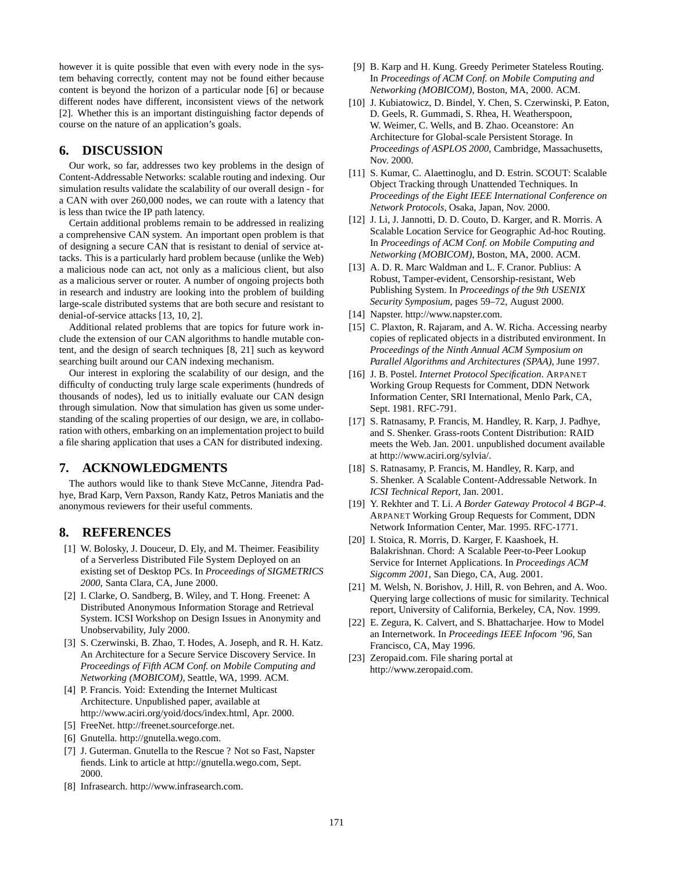however it is quite possible that even with every node in the system behaving correctly, content may not be found either because content is beyond the horizon of a particular node [6] or because different nodes have different, inconsistent views of the network [2]. Whether this is an important distinguishing factor depends of course on the nature of an application's goals.

### **6. DISCUSSION**

Our work, so far, addresses two key problems in the design of Content-Addressable Networks: scalable routing and indexing. Our simulation results validate the scalability of our overall design - for a CAN with over 260,000 nodes, we can route with a latency that is less than twice the IP path latency.

Certain additional problems remain to be addressed in realizing a comprehensive CAN system. An important open problem is that of designing a secure CAN that is resistant to denial of service attacks. This is a particularly hard problem because (unlike the Web) a malicious node can act, not only as a malicious client, but also as a malicious server or router. A number of ongoing projects both in research and industry are looking into the problem of building large-scale distributed systems that are both secure and resistant to denial-of-service attacks [13, 10, 2].

Additional related problems that are topics for future work include the extension of our CAN algorithms to handle mutable content, and the design of search techniques [8, 21] such as keyword searching built around our CAN indexing mechanism.

Our interest in exploring the scalability of our design, and the difficulty of conducting truly large scale experiments (hundreds of thousands of nodes), led us to initially evaluate our CAN design through simulation. Now that simulation has given us some understanding of the scaling properties of our design, we are, in collaboration with others, embarking on an implementation project to build a file sharing application that uses a CAN for distributed indexing.

## **7. ACKNOWLEDGMENTS**

The authors would like to thank Steve McCanne, Jitendra Padhye, Brad Karp, Vern Paxson, Randy Katz, Petros Maniatis and the anonymous reviewers for their useful comments.

# **8. REFERENCES**

- [1] W. Bolosky, J. Douceur, D. Ely, and M. Theimer. Feasibility of a Serverless Distributed File System Deployed on an existing set of Desktop PCs. In *Proceedings of SIGMETRICS 2000*, Santa Clara, CA, June 2000.
- [2] I. Clarke, O. Sandberg, B. Wiley, and T. Hong. Freenet: A Distributed Anonymous Information Storage and Retrieval System. ICSI Workshop on Design Issues in Anonymity and Unobservability, July 2000.
- [3] S. Czerwinski, B. Zhao, T. Hodes, A. Joseph, and R. H. Katz. An Architecture for a Secure Service Discovery Service. In *Proceedings of Fifth ACM Conf. on Mobile Computing and Networking (MOBICOM)*, Seattle, WA, 1999. ACM.
- [4] P. Francis. Yoid: Extending the Internet Multicast Architecture. Unpublished paper, available at http://www.aciri.org/yoid/docs/index.html, Apr. 2000.
- [5] FreeNet. http://freenet.sourceforge.net.
- [6] Gnutella. http://gnutella.wego.com.
- [7] J. Guterman. Gnutella to the Rescue ? Not so Fast, Napster fiends. Link to article at http://gnutella.wego.com, Sept. 2000.
- [8] Infrasearch. http://www.infrasearch.com.
- [9] B. Karp and H. Kung. Greedy Perimeter Stateless Routing. In *Proceedings of ACM Conf. on Mobile Computing and Networking (MOBICOM)*, Boston, MA, 2000. ACM.
- [10] J. Kubiatowicz, D. Bindel, Y. Chen, S. Czerwinski, P. Eaton, D. Geels, R. Gummadi, S. Rhea, H. Weatherspoon, W. Weimer, C. Wells, and B. Zhao. Oceanstore: An Architecture for Global-scale Persistent Storage. In *Proceedings of ASPLOS 2000*, Cambridge, Massachusetts, Nov. 2000.
- [11] S. Kumar, C. Alaettinoglu, and D. Estrin. SCOUT: Scalable Object Tracking through Unattended Techniques. In *Proceedings of the Eight IEEE International Conference on Network Protocols*, Osaka, Japan, Nov. 2000.
- [12] J. Li, J. Jannotti, D. D. Couto, D. Karger, and R. Morris. A Scalable Location Service for Geographic Ad-hoc Routing. In *Proceedings of ACM Conf. on Mobile Computing and Networking (MOBICOM)*, Boston, MA, 2000. ACM.
- [13] A. D. R. Marc Waldman and L. F. Cranor. Publius: A Robust, Tamper-evident, Censorship-resistant, Web Publishing System. In *Proceedings of the 9th USENIX Security Symposium*, pages 59–72, August 2000.
- [14] Napster. http://www.napster.com.
- [15] C. Plaxton, R. Rajaram, and A. W. Richa. Accessing nearby copies of replicated objects in a distributed environment. In *Proceedings of the Ninth Annual ACM Symposium on Parallel Algorithms and Architectures (SPAA)*, June 1997.
- [16] J. B. Postel. *Internet Protocol Specification*. ARPANET Working Group Requests for Comment, DDN Network Information Center, SRI International, Menlo Park, CA, Sept. 1981. RFC-791.
- [17] S. Ratnasamy, P. Francis, M. Handley, R. Karp, J. Padhye, and S. Shenker. Grass-roots Content Distribution: RAID meets the Web. Jan. 2001. unpublished document available at http://www.aciri.org/sylvia/.
- [18] S. Ratnasamy, P. Francis, M. Handley, R. Karp, and S. Shenker. A Scalable Content-Addressable Network. In *ICSI Technical Report*, Jan. 2001.
- [19] Y. Rekhter and T. Li. *A Border Gateway Protocol 4 BGP-4*. ARPANET Working Group Requests for Comment, DDN Network Information Center, Mar. 1995. RFC-1771.
- [20] I. Stoica, R. Morris, D. Karger, F. Kaashoek, H. Balakrishnan. Chord: A Scalable Peer-to-Peer Lookup Service for Internet Applications. In *Proceedings ACM Sigcomm 2001*, San Diego, CA, Aug. 2001.
- [21] M. Welsh, N. Borishov, J. Hill, R. von Behren, and A. Woo. Querying large collections of music for similarity. Technical report, University of California, Berkeley, CA, Nov. 1999.
- [22] E. Zegura, K. Calvert, and S. Bhattacharjee. How to Model an Internetwork. In *Proceedings IEEE Infocom '96*, San Francisco, CA, May 1996.
- [23] Zeropaid.com. File sharing portal at http://www.zeropaid.com.